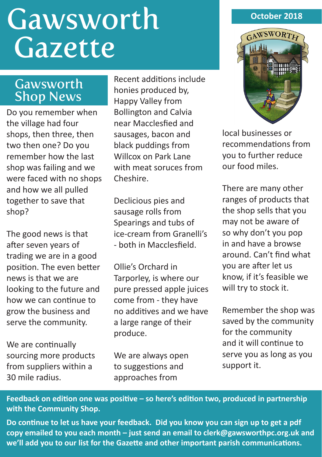# **Gawsworth** Gazette

### Gawsworth Shop News

Do you remember when the village had four shops, then three, then two then one? Do you remember how the last shop was failing and we were faced with no shops and how we all pulled together to save that shop?

The good news is that after seven years of trading we are in a good position. The even better news is that we are looking to the future and how we can continue to grow the business and serve the community.

We are continually sourcing more products from suppliers within a 30 mile radius.

Recent additions include honies produced by, Happy Valley from Bollington and Calvia near Macclesfied and sausages, bacon and black puddings from Willcox on Park Lane with meat soruces from Cheshire.

Declicious pies and sausage rolls from Spearings and tubs of ice-cream from Granelli's - both in Macclesfield.

Ollie's Orchard in Tarporley, is where our pure pressed apple juices come from - they have no additives and we have a large range of their produce.

We are always open to suggestions and approaches from

#### **October 2018**



local businesses or recommendations from you to further reduce our food miles.

There are many other ranges of products that the shop sells that you may not be aware of so why don't you pop in and have a browse around. Can't find what you are after let us know, if it's feasible we will try to stock it.

Remember the shop was saved by the community for the community and it will continue to serve you as long as you support it.

**Feedback on edition one was positive – so here's edition two, produced in partnership with the Community Shop.** 

**Do continue to let us have your feedback. Did you know you can sign up to get a pdf copy emailed to you each month – just send an email to clerk@gawsworthpc.org.uk and we'll add you to our list for the Gazette and other important parish communications.**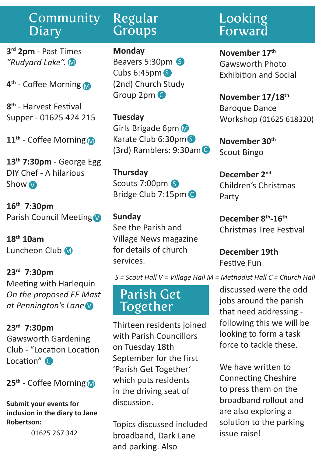#### Community **Diary**

**3rd 2pm** - Past Times *"Rudyard Lake".* M

**4th** - Coffee Morning M

**8th** - Harvest Festival Supper - 01625 424 215

**11th** - Coffee Morning M

**13th 7:30pm** - George Egg DIY Chef - A hilarious Show V

**16th 7:30pm** Parish Council Meeting

**18th 10am** Luncheon Club M

**23rd 7:30pm** Meeting with Harlequin *On the proposed EE Mast at Pennington's Lane* V

**23rd 7:30pm** Gawsworth Gardening Club - "Location Location Location"<sup>C</sup>

**25th** - Coffee Morning M

**Submit your events for inclusion in the diary to Jane Robertson:**

01625 267 342

## Regular **Groups**

**Monday** Beavers 5:30pm S Cubs 6:45pm S (2nd) Church Study Group 2pm C

**Tuesday** Girls Brigade 6pm M Karate Club 6:30pm S (3rd) Ramblers: 9:30am C

**Thursday** Scouts 7:00pm Bridge Club 7:15pm C

#### **Sunday** See the Parish and Village News magazine for details of church

services.

*S = Scout Hall V = Village Hall M = Methodist Hall C = Church Hall*

## Parish Get Together

Thirteen residents joined with Parish Councillors on Tuesday 18th September for the first 'Parish Get Together' which puts residents in the driving seat of discussion.

Topics discussed included broadband, Dark Lane and parking. Also

# Looking Forward

**November 17th** Gawsworth Photo Exhibition and Social

**November 17/18th**  Baroque Dance Workshop (01625 618320)

**November 30th** Scout Bingo

**December 2nd** Children's Christmas Party

**December 8th-16th** Christmas Tree Festival

**December 19th** Festive Fun

discussed were the odd jobs around the parish that need addressing following this we will be looking to form a task

force to tackle these.

We have written to Connecting Cheshire to press them on the broadband rollout and are also exploring a solution to the parking issue raise!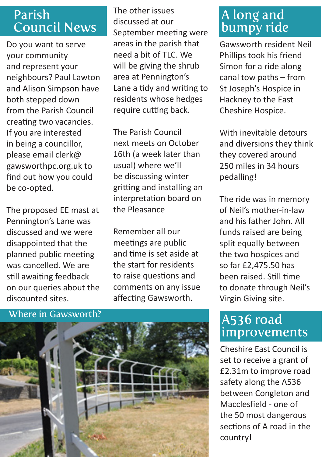## Parish Council News

Do you want to serve your community and represent your neighbours? Paul Lawton and Alison Simpson have both stepped down from the Parish Council creating two vacancies. If you are interested in being a councillor, please email clerk@ gawsworthpc.org.uk to find out how you could be co-opted.

The proposed EE mast at Pennington's Lane was discussed and we were disappointed that the planned public meeting was cancelled. We are still awaiting feedback on our queries about the discounted sites.

The other issues discussed at our September meeting were areas in the parish that need a bit of TLC. We will be giving the shrub area at Pennington's Lane a tidy and writing to residents whose hedges require cutting back.

The Parish Council next meets on October 16th (a week later than usual) where we'll be discussing winter gritting and installing an interpretation board on the Pleasance

Remember all our meetings are public and time is set aside at the start for residents to raise questions and comments on any issue affecting Gawsworth.

#### Where in Gawsworth?



## A long and bumpy ride

Gawsworth resident Neil Phillips took his friend Simon for a ride along canal tow paths – from St Joseph's Hospice in Hackney to the East Cheshire Hospice.

With inevitable detours and diversions they think they covered around 250 miles in 34 hours pedalling!

The ride was in memory of Neil's mother-in-law and his father John. All funds raised are being split equally between the two hospices and so far £2,475.50 has been raised. Still time to donate through Neil's Virgin Giving site.

## A536 road improvements

Cheshire East Council is set to receive a grant of £2.31m to improve road safety along the A536 between Congleton and Macclesfield - one of the 50 most dangerous sections of A road in the country!